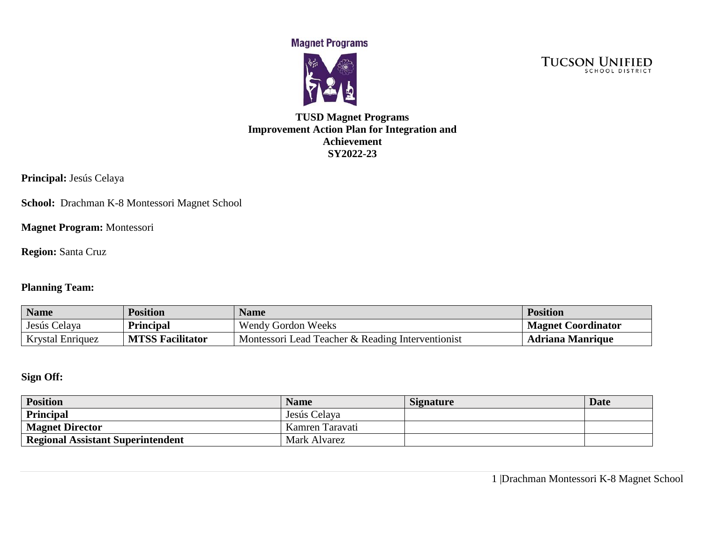**Magnet Programs** 





### **TUSD Magnet Programs Improvement Action Plan for Integration and Achievement SY2022-23**

**Principal:** Jesús Celaya

**School:** Drachman K-8 Montessori Magnet School

**Magnet Program:** Montessori

**Region:** Santa Cruz

### **Planning Team:**

| <b>Name</b>             | <b>Position</b>         | <b>Name</b>                                       | <b>Position</b>           |
|-------------------------|-------------------------|---------------------------------------------------|---------------------------|
| Jesús Celaya            | <b>Principal</b>        | <b>Wendy Gordon Weeks</b>                         | <b>Magnet Coordinator</b> |
| <b>Krystal Enriquez</b> | <b>MTSS Facilitator</b> | Montessori Lead Teacher & Reading Interventionist | <b>Adriana Manrique</b>   |

## **Sign Off:**

| <b>Position</b>                   | <b>Name</b>     | <b>Signature</b> | <b>Date</b> |
|-----------------------------------|-----------------|------------------|-------------|
| Principal                         | Jesús Celaya    |                  |             |
| <b>Magnet Director</b>            | Kamren Taravati |                  |             |
| Regional Assistant Superintendent | Mark Alvarez    |                  |             |

1 |Drachman Montessori K-8 Magnet School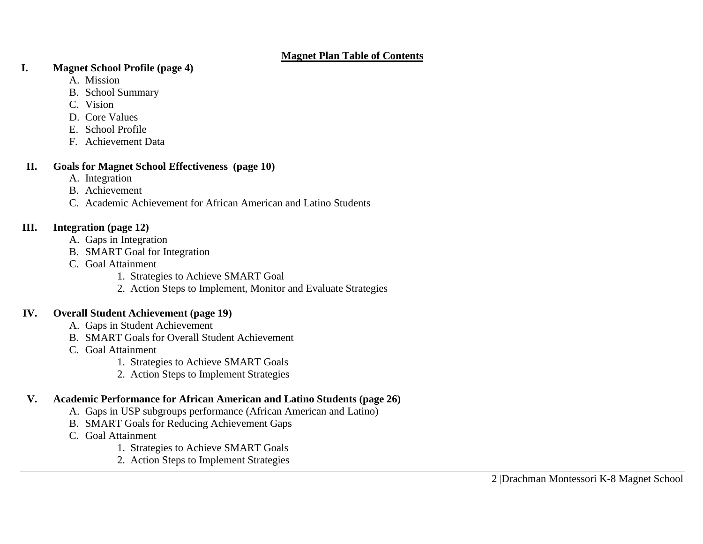#### **Magnet Plan Table of Contents**

#### **I. Magnet School Profile (page 4)**

- A. Mission
- B. School Summary
- C. Vision
- D. Core Values
- E. School Profile
- F. Achievement Data

## **II. Goals for Magnet School Effectiveness (page 10)**

- A. Integration
- B. Achievement
- C. Academic Achievement for African American and Latino Students

## **III. Integration (page 12)**

- A. Gaps in Integration
- B. SMART Goal for Integration
- C. Goal Attainment
	- 1. Strategies to Achieve SMART Goal
	- 2. Action Steps to Implement, Monitor and Evaluate Strategies

## **IV. Overall Student Achievement (page 19)**

- A. Gaps in Student Achievement
- B. SMART Goals for Overall Student Achievement
- C. Goal Attainment
	- 1. Strategies to Achieve SMART Goals
	- 2. Action Steps to Implement Strategies

# **V. Academic Performance for African American and Latino Students (page 26)**

- A. Gaps in USP subgroups performance (African American and Latino)
- B. SMART Goals for Reducing Achievement Gaps
- C. Goal Attainment
	- 1. Strategies to Achieve SMART Goals
	- 2. Action Steps to Implement Strategies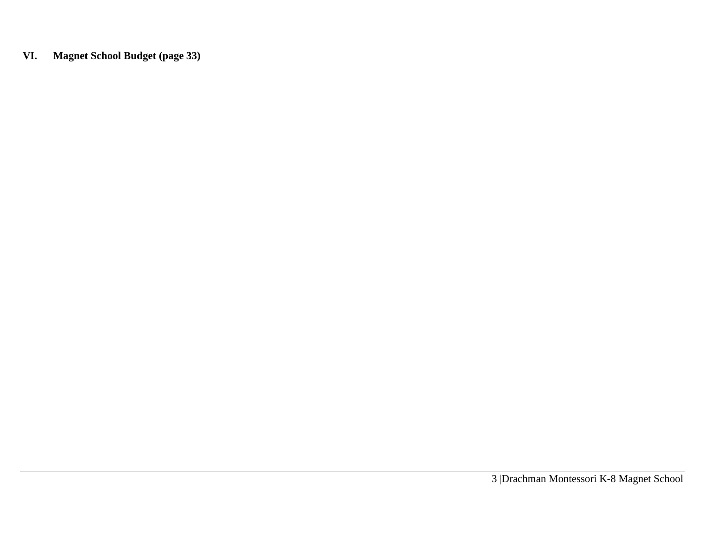**VI. Magnet School Budget (page 33)**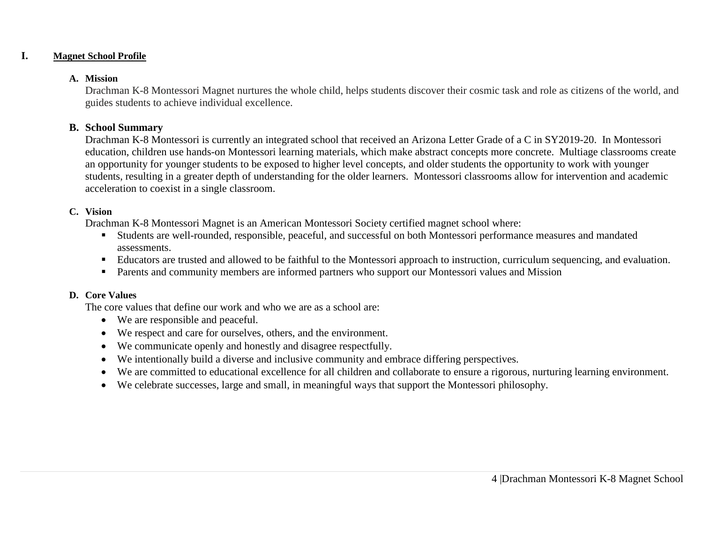#### **I. Magnet School Profile**

#### **A. Mission**

Drachman K-8 Montessori Magnet nurtures the whole child, helps students discover their cosmic task and role as citizens of the world, and guides students to achieve individual excellence.

#### **B. School Summary**

Drachman K-8 Montessori is currently an integrated school that received an Arizona Letter Grade of a C in SY2019-20. In Montessori education, children use hands-on Montessori learning materials, which make abstract concepts more concrete. Multiage classrooms create an opportunity for younger students to be exposed to higher level concepts, and older students the opportunity to work with younger students, resulting in a greater depth of understanding for the older learners. Montessori classrooms allow for intervention and academic acceleration to coexist in a single classroom.

#### **C. Vision**

Drachman K-8 Montessori Magnet is an American Montessori Society certified magnet school where:

- Students are well-rounded, responsible, peaceful, and successful on both Montessori performance measures and mandated assessments.
- Educators are trusted and allowed to be faithful to the Montessori approach to instruction, curriculum sequencing, and evaluation.
- Parents and community members are informed partners who support our Montessori values and Mission

### **D. Core Values**

The core values that define our work and who we are as a school are:

- We are responsible and peaceful.
- We respect and care for ourselves, others, and the environment.
- We communicate openly and honestly and disagree respectfully.
- We intentionally build a diverse and inclusive community and embrace differing perspectives.
- We are committed to educational excellence for all children and collaborate to ensure a rigorous, nurturing learning environment.
- We celebrate successes, large and small, in meaningful ways that support the Montessori philosophy.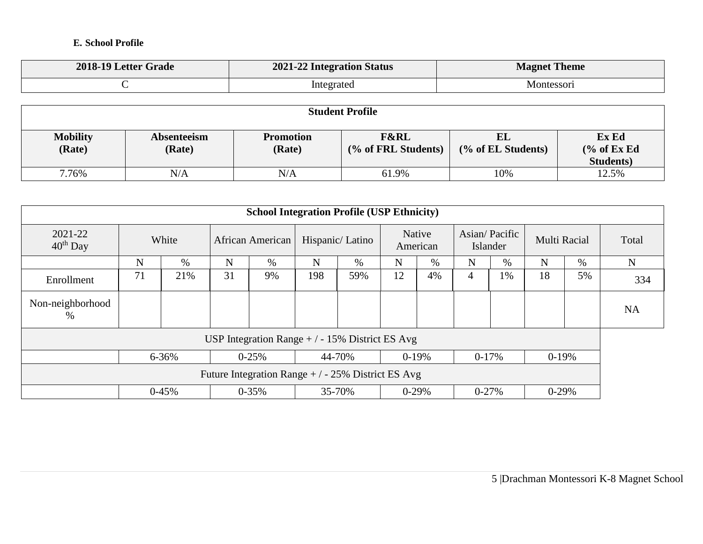### **E. School Profile**

| 2018-19 Letter Grade | 2021-22 Integration Status | <b>Magnet Theme</b> |
|----------------------|----------------------------|---------------------|
|                      | Integrated                 | <b>Montessori</b>   |

| <b>Student Profile</b>    |                                                                                                                                                              |     |       |     |       |  |  |  |  |  |
|---------------------------|--------------------------------------------------------------------------------------------------------------------------------------------------------------|-----|-------|-----|-------|--|--|--|--|--|
| <b>Mobility</b><br>(Rate) | Ex Ed<br><b>F&amp;RL</b><br>EL<br><b>Promotion</b><br>Absenteeism<br>% of ExEd<br>(Rate)<br>(% of FRL Students)<br>(Rate)<br>(% of EL Students)<br>Students) |     |       |     |       |  |  |  |  |  |
| 7.76%                     | N/A                                                                                                                                                          | N/A | 61.9% | 10% | 12.5% |  |  |  |  |  |

|                                                                   |       |       |                  | <b>School Integration Profile (USP Ethnicity)</b> |     |                 |    |                    |                |                           |         |              |             |       |
|-------------------------------------------------------------------|-------|-------|------------------|---------------------------------------------------|-----|-----------------|----|--------------------|----------------|---------------------------|---------|--------------|-------------|-------|
| 2021-22<br>$40th$ Day                                             | White |       | African American |                                                   |     | Hispanic/Latino |    | Native<br>American |                | Asian/Pacific<br>Islander |         | Multi Racial |             | Total |
|                                                                   | N     | $\%$  | N                | $\%$                                              | N   | $\%$            | N  | $\%$               | N              | $\%$                      | N       | $\%$         | $\mathbf N$ |       |
| Enrollment                                                        | 71    | 21%   | 31               | 9%                                                | 198 | 59%             | 12 | 4%                 | $\overline{4}$ | 1%                        | 18      | 5%           | 334         |       |
| Non-neighborhood<br>%                                             |       |       |                  |                                                   |     |                 |    |                    |                |                           |         |              | <b>NA</b>   |       |
|                                                                   |       |       |                  | USP Integration Range $+/-15\%$ District ES Avg   |     |                 |    |                    |                |                           |         |              |             |       |
|                                                                   |       | 6-36% |                  | $0 - 25%$                                         |     | 44-70%          |    | $0-19%$            |                | $0-17%$                   | $0-19%$ |              |             |       |
| Future Integration Range $+/-25\%$ District ES Avg                |       |       |                  |                                                   |     |                 |    |                    |                |                           |         |              |             |       |
| $0-45%$<br>$0 - 35%$<br>35-70%<br>$0-29%$<br>$0 - 27%$<br>$0-29%$ |       |       |                  |                                                   |     |                 |    |                    |                |                           |         |              |             |       |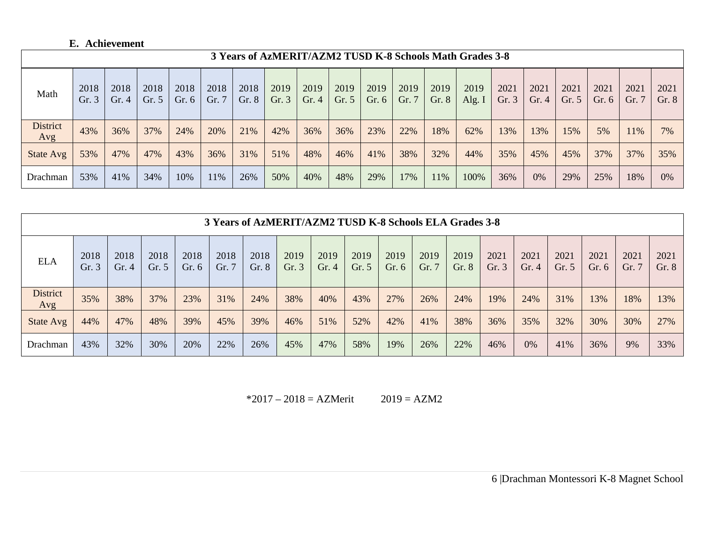## **E. Achievement**

|                        | 3 Years of AzMERIT/AZM2 TUSD K-8 Schools Math Grades 3-8 |              |               |                 |               |               |               |               |               |               |               |               |                  |               |              |                 |                 |               |               |
|------------------------|----------------------------------------------------------|--------------|---------------|-----------------|---------------|---------------|---------------|---------------|---------------|---------------|---------------|---------------|------------------|---------------|--------------|-----------------|-----------------|---------------|---------------|
| Math                   | 2018<br>Gr.3                                             | 2018<br>Gr.4 | 2018<br>Gr. 5 | 2018<br>Gr. $6$ | 2018<br>Gr. 7 | 2018<br>Gr. 8 | 2019<br>Gr. 3 | 2019<br>Gr. 4 | 2019<br>Gr. 5 | 2019<br>Gr. 6 | 2019<br>Gr. 7 | 2019<br>Gr. 8 | 2019<br>Alg. $I$ | 2021<br>Gr. 3 | 2021<br>Gr.4 | 2021<br>Gr. $5$ | 2021<br>Gr. $6$ | 2021<br>Gr. 7 | 2021<br>Gr. 8 |
| <b>District</b><br>Avg | 43%                                                      | 36%          | 37%           | 24%             | 20%           | 21%           | 42%           | 36%           | 36%           | 23%           | 22%           | 18%           | 62%              | 13%           | 13%          | 15%             | 5%              | 11%           | 7%            |
| State Avg              | 53%                                                      | 47%          | 47%           | 43%             | 36%           | 31%           | 51%           | 48%           | 46%           | 41%           | 38%           | 32%           | 44%              | 35%           | 45%          | 45%             | 37%             | 37%           | 35%           |
| Drachman               | 53%                                                      | 41%          | 34%           | 10%             | 11%           | 26%           | 50%           | 40%           | 48%           | 29%           | 17%           | 11%           | 100%             | 36%           | 0%           | 29%             | 25%             | 18%           | $0\%$         |

|                        | 3 Years of AzMERIT/AZM2 TUSD K-8 Schools ELA Grades 3-8 |                 |                 |                 |               |               |              |              |                 |                 |               |               |              |                 |                 |                 |               |               |
|------------------------|---------------------------------------------------------|-----------------|-----------------|-----------------|---------------|---------------|--------------|--------------|-----------------|-----------------|---------------|---------------|--------------|-----------------|-----------------|-----------------|---------------|---------------|
| <b>ELA</b>             | 2018<br>Gr.3                                            | 2018<br>Gr. $4$ | 2018<br>Gr. $5$ | 2018<br>Gr. $6$ | 2018<br>Gr. 7 | 2018<br>Gr. 8 | 2019<br>Gr.3 | 2019<br>Gr.4 | 2019<br>Gr. $5$ | 2019<br>Gr. $6$ | 2019<br>Gr. 7 | 2019<br>Gr. 8 | 2021<br>Gr.3 | 2021<br>Gr. $4$ | 2021<br>Gr. $5$ | 2021<br>Gr. $6$ | 2021<br>Gr. 7 | 2021<br>Gr. 8 |
| <b>District</b><br>Avg | 35%                                                     | 38%             | 37%             | 23%             | 31%           | 24%           | 38%          | 40%          | 43%             | 27%             | 26%           | 24%           | 19%          | 24%             | 31%             | 13%             | 18%           | 13%           |
| State Avg              | 44%                                                     | 47%             | 48%             | 39%             | 45%           | 39%           | 46%          | 51%          | 52%             | 42%             | 41%           | 38%           | 36%          | 35%             | 32%             | 30%             | 30%           | 27%           |
| Drachman               | 43%                                                     | 32%             | 30%             | 20%             | 22%           | 26%           | 45%          | 47%          | 58%             | 19%             | 26%           | 22%           | 46%          | 0%              | 41%             | 36%             | 9%            | 33%           |

 $*2017 - 2018 = AZMerit$  2019 = AZM2

6 |Drachman Montessori K-8 Magnet School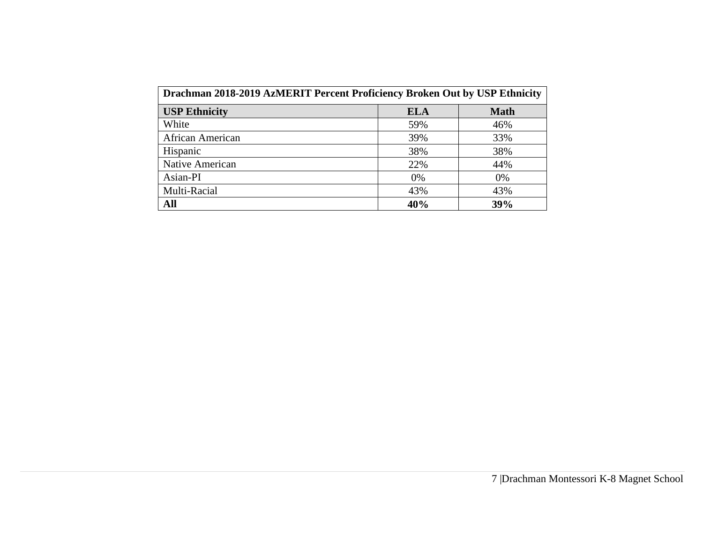| Drachman 2018-2019 AzMERIT Percent Proficiency Broken Out by USP Ethnicity |     |             |  |  |  |  |  |  |
|----------------------------------------------------------------------------|-----|-------------|--|--|--|--|--|--|
| <b>USP Ethnicity</b>                                                       | ELA | <b>Math</b> |  |  |  |  |  |  |
| White                                                                      | 59% | 46%         |  |  |  |  |  |  |
| African American                                                           | 39% | 33%         |  |  |  |  |  |  |
| Hispanic                                                                   | 38% | 38%         |  |  |  |  |  |  |
| Native American                                                            | 22% | 44%         |  |  |  |  |  |  |
| Asian-PI                                                                   | 0%  | 0%          |  |  |  |  |  |  |
| Multi-Racial                                                               | 43% | 43%         |  |  |  |  |  |  |
| All                                                                        | 40% | 39%         |  |  |  |  |  |  |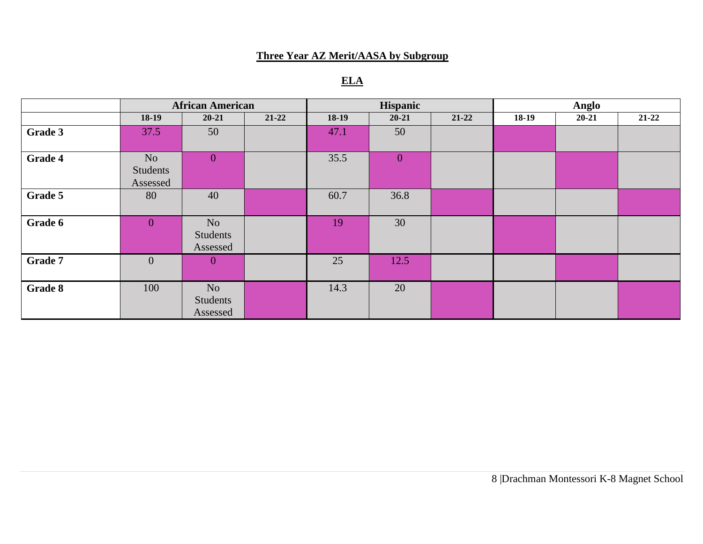## **Three Year AZ Merit/AASA by Subgroup**

# **ELA**

|                | <b>African American</b>                |                                        |           |         | Hispanic       |           |         | Anglo     |           |
|----------------|----------------------------------------|----------------------------------------|-----------|---------|----------------|-----------|---------|-----------|-----------|
|                | 18-19                                  | $20 - 21$                              | $21 - 22$ | $18-19$ | $20 - 21$      | $21 - 22$ | $18-19$ | $20 - 21$ | $21 - 22$ |
| Grade 3        | 37.5                                   | 50                                     |           | 47.1    | 50             |           |         |           |           |
| <b>Grade 4</b> | N <sub>o</sub><br>Students<br>Assessed | $\overline{0}$                         |           | 35.5    | $\overline{0}$ |           |         |           |           |
| Grade 5        | 80                                     | 40                                     |           | 60.7    | 36.8           |           |         |           |           |
| Grade 6        | $\overline{0}$                         | N <sub>o</sub><br>Students<br>Assessed |           | 19      | 30             |           |         |           |           |
| Grade 7        | $\mathbf{0}$                           | $\overline{0}$                         |           | 25      | 12.5           |           |         |           |           |
| Grade 8        | 100                                    | N <sub>o</sub><br>Students<br>Assessed |           | 14.3    | 20             |           |         |           |           |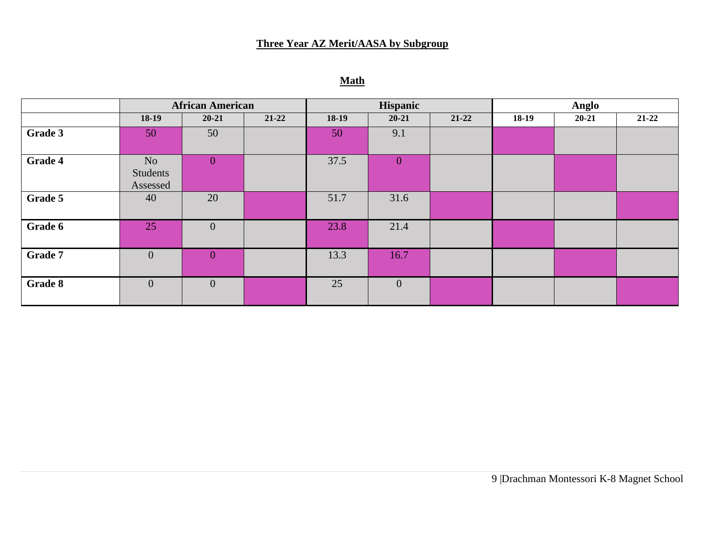## **Three Year AZ Merit/AASA by Subgroup**

# **Math**

|         | <b>African American</b>    |                |           |         | Hispanic       |           |         | <b>Anglo</b> |           |
|---------|----------------------------|----------------|-----------|---------|----------------|-----------|---------|--------------|-----------|
|         | $18-19$                    | $20 - 21$      | $21 - 22$ | $18-19$ | $20 - 21$      | $21 - 22$ | $18-19$ | $20 - 21$    | $21 - 22$ |
| Grade 3 | 50                         | 50             |           | 50      | 9.1            |           |         |              |           |
| Grade 4 | No<br>Students<br>Assessed | $\overline{0}$ |           | 37.5    | $\overline{0}$ |           |         |              |           |
| Grade 5 | 40                         | 20             |           | 51.7    | 31.6           |           |         |              |           |
| Grade 6 | 25                         | $\overline{0}$ |           | 23.8    | 21.4           |           |         |              |           |
| Grade 7 | $\overline{0}$             | $\overline{0}$ |           | 13.3    | 16.7           |           |         |              |           |
| Grade 8 | $\overline{0}$             | $\overline{0}$ |           | 25      | $\overline{0}$ |           |         |              |           |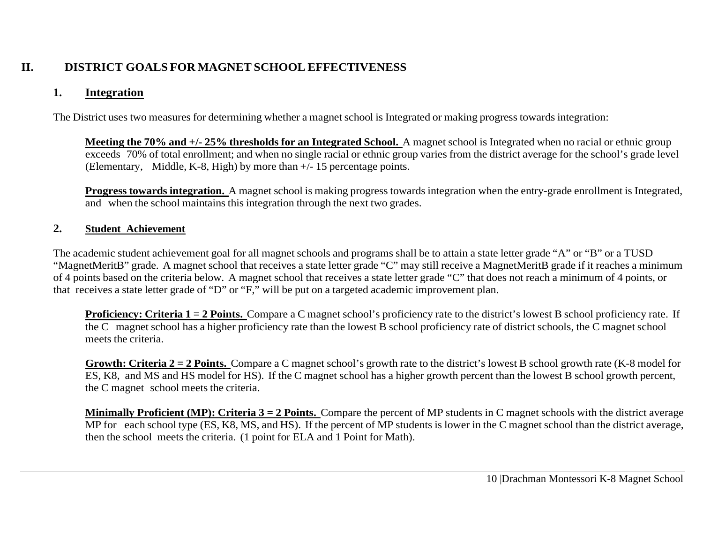## **II. DISTRICT GOALS FOR MAGNET SCHOOL EFFECTIVENESS**

## **1. Integration**

The District uses two measures for determining whether a magnet school is Integrated or making progress towards integration:

**Meeting the 70% and +/- 25% thresholds for an Integrated School.** A magnet school is Integrated when no racial or ethnic group exceeds 70% of total enrollment; and when no single racial or ethnic group varies from the district average for the school's grade level (Elementary, Middle, K-8, High) by more than +/- 15 percentage points.

**Progress towards integration.** A magnet school is making progress towards integration when the entry-grade enrollment is Integrated, and when the school maintains this integration through the next two grades.

## **2. Student Achievement**

The academic student achievement goal for all magnet schools and programs shall be to attain a state letter grade "A" or "B" or a TUSD "MagnetMeritB" grade. A magnet school that receives a state letter grade "C" may still receive a MagnetMeritB grade if it reaches a minimum of 4 points based on the criteria below. A magnet school that receives a state letter grade "C" that does not reach a minimum of 4 points, or that receives a state letter grade of "D" or "F," will be put on a targeted academic improvement plan.

**Proficiency: Criteria 1 = 2 Points.** Compare a C magnet school's proficiency rate to the district's lowest B school proficiency rate. If the C magnet school has a higher proficiency rate than the lowest B school proficiency rate of district schools, the C magnet school meets the criteria.

**Growth: Criteria 2 = 2 Points.** Compare a C magnet school's growth rate to the district's lowest B school growth rate (K-8 model for ES, K8, and MS and HS model for HS). If the C magnet school has a higher growth percent than the lowest B school growth percent, the C magnet school meets the criteria.

**Minimally Proficient (MP): Criteria 3 = 2 Points.** Compare the percent of MP students in C magnet schools with the district average MP for each school type (ES, K8, MS, and HS). If the percent of MP students is lower in the C magnet school than the district average, then the school meets the criteria. (1 point for ELA and 1 Point for Math).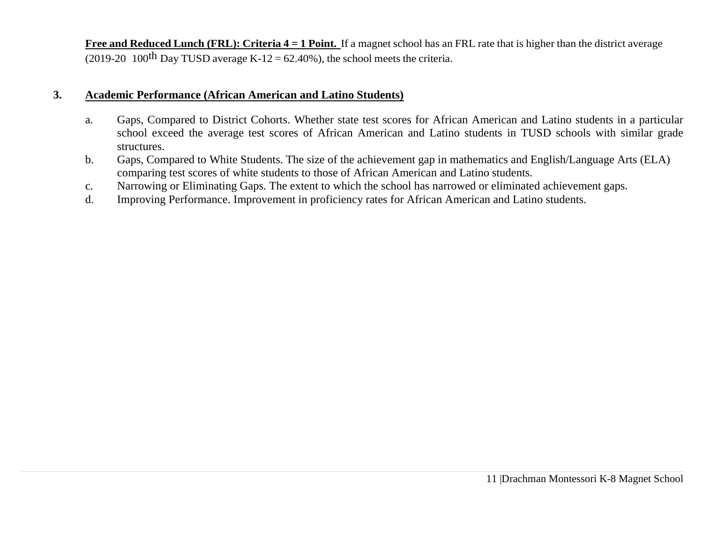**Free and Reduced Lunch (FRL): Criteria 4 = 1 Point.** If a magnet school has an FRL rate that is higher than the district average (2019-20 100<sup>th</sup> Day TUSD average K-12 = 62.40%), the school meets the criteria.

### **3. Academic Performance (African American and Latino Students)**

- a. Gaps, Compared to District Cohorts. Whether state test scores for African American and Latino students in a particular school exceed the average test scores of African American and Latino students in TUSD schools with similar grade structures.
- b. Gaps, Compared to White Students. The size of the achievement gap in mathematics and English/Language Arts (ELA) comparing test scores of white students to those of African American and Latino students.
- c. Narrowing or Eliminating Gaps. The extent to which the school has narrowed or eliminated achievement gaps.
- d. Improving Performance. Improvement in proficiency rates for African American and Latino students.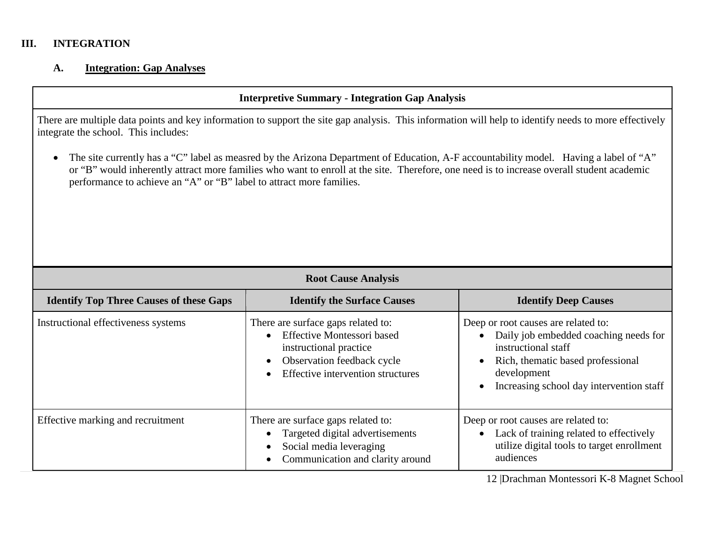#### **III. INTEGRATION**

#### **A. Integration: Gap Analyses**

#### **Interpretive Summary - Integration Gap Analysis**

There are multiple data points and key information to support the site gap analysis. This information will help to identify needs to more effectively integrate the school. This includes:

• The site currently has a "C" label as measred by the Arizona Department of Education, A-F accountability model. Having a label of "A" or "B" would inherently attract more families who want to enroll at the site. Therefore, one need is to increase overall student academic performance to achieve an "A" or "B" label to attract more families.

|                                                | <b>Root Cause Analysis</b>                                                                                                                                           |                                                                                                                                                                                                                               |  |  |  |  |
|------------------------------------------------|----------------------------------------------------------------------------------------------------------------------------------------------------------------------|-------------------------------------------------------------------------------------------------------------------------------------------------------------------------------------------------------------------------------|--|--|--|--|
| <b>Identify Top Three Causes of these Gaps</b> | <b>Identify the Surface Causes</b>                                                                                                                                   | <b>Identify Deep Causes</b>                                                                                                                                                                                                   |  |  |  |  |
| Instructional effectiveness systems            | There are surface gaps related to:<br><b>Effective Montessori based</b><br>instructional practice<br>Observation feedback cycle<br>Effective intervention structures | Deep or root causes are related to:<br>Daily job embedded coaching needs for<br>instructional staff<br>Rich, thematic based professional<br>$\bullet$<br>development<br>Increasing school day intervention staff<br>$\bullet$ |  |  |  |  |
| Effective marking and recruitment              | There are surface gaps related to:<br>Targeted digital advertisements<br>Social media leveraging<br>Communication and clarity around                                 | Deep or root causes are related to:<br>Lack of training related to effectively<br>$\bullet$<br>utilize digital tools to target enrollment<br>audiences                                                                        |  |  |  |  |

12 |Drachman Montessori K-8 Magnet School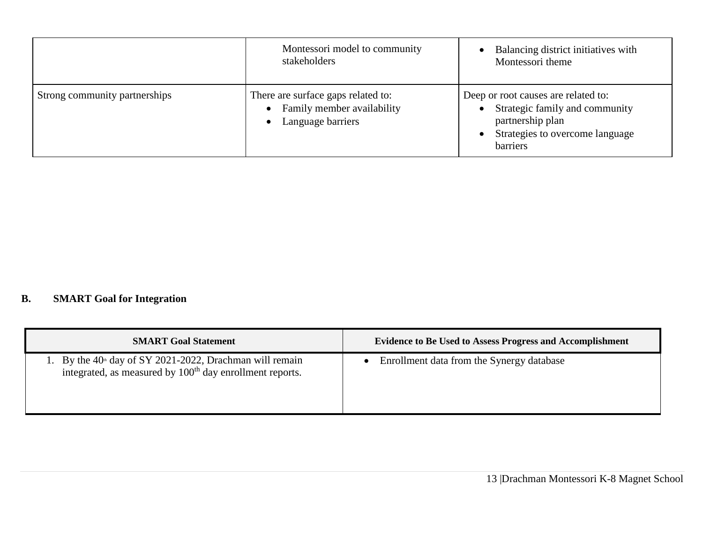|                               | Montessori model to community<br>stakeholders                                                                   | Balancing district initiatives with<br>Montessori theme                                                                                  |
|-------------------------------|-----------------------------------------------------------------------------------------------------------------|------------------------------------------------------------------------------------------------------------------------------------------|
| Strong community partnerships | There are surface gaps related to:<br>Family member availability<br>$\bullet$<br>Language barriers<br>$\bullet$ | Deep or root causes are related to:<br>Strategic family and community<br>partnership plan<br>Strategies to overcome language<br>barriers |

# **B. SMART Goal for Integration**

| <b>SMART Goal Statement</b>                                                                                                              | <b>Evidence to Be Used to Assess Progress and Accomplishment</b> |
|------------------------------------------------------------------------------------------------------------------------------------------|------------------------------------------------------------------|
| 1. By the $40^{\circ}$ day of SY 2021-2022, Drachman will remain<br>integrated, as measured by 100 <sup>th</sup> day enrollment reports. | Enrollment data from the Synergy database                        |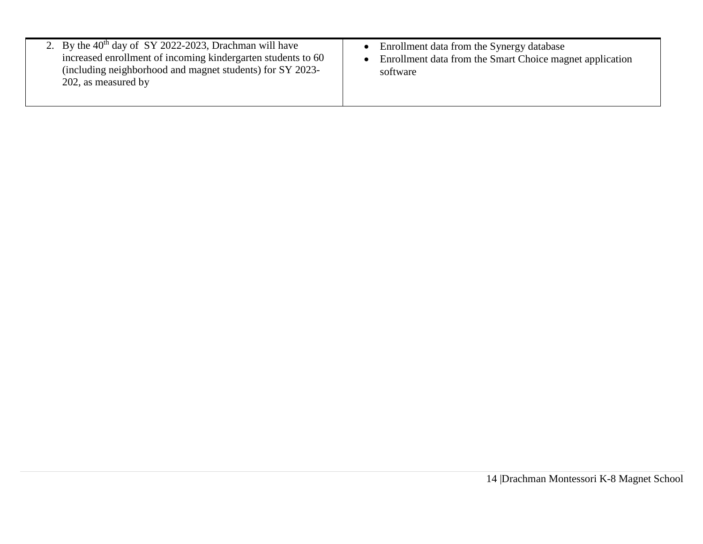| 2. By the $40th$ day of SY 2022-2023, Drachman will have<br>increased enrollment of incoming kindergarten students to 60<br>(including neighborhood and magnet students) for SY 2023-<br>202, as measured by | Enrollment data from the Synergy database<br>Enrollment data from the Smart Choice magnet application<br>software |
|--------------------------------------------------------------------------------------------------------------------------------------------------------------------------------------------------------------|-------------------------------------------------------------------------------------------------------------------|
|--------------------------------------------------------------------------------------------------------------------------------------------------------------------------------------------------------------|-------------------------------------------------------------------------------------------------------------------|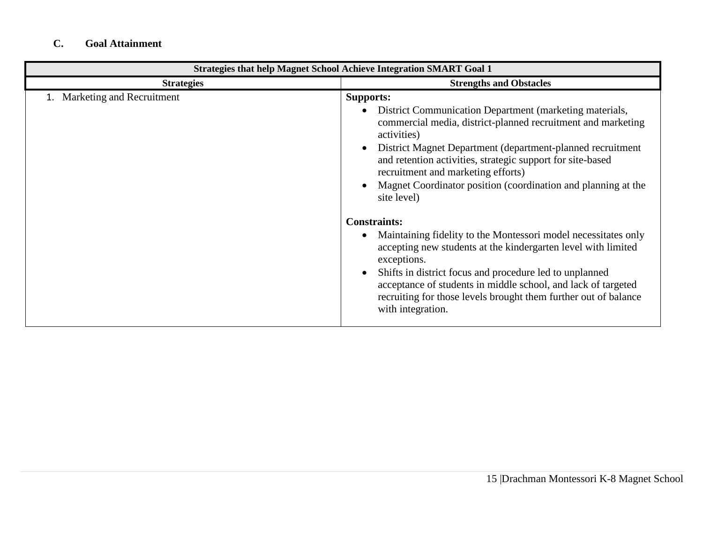## **C. Goal Attainment**

| <b>Strategies that help Magnet School Achieve Integration SMART Goal 1</b> |                                                                                                                                                                                                                                                                                                                                                                                                                                                                                                                                                                                                                                                                                                                                                                                                           |  |  |  |
|----------------------------------------------------------------------------|-----------------------------------------------------------------------------------------------------------------------------------------------------------------------------------------------------------------------------------------------------------------------------------------------------------------------------------------------------------------------------------------------------------------------------------------------------------------------------------------------------------------------------------------------------------------------------------------------------------------------------------------------------------------------------------------------------------------------------------------------------------------------------------------------------------|--|--|--|
| <b>Strategies</b>                                                          | <b>Strengths and Obstacles</b>                                                                                                                                                                                                                                                                                                                                                                                                                                                                                                                                                                                                                                                                                                                                                                            |  |  |  |
| Marketing and Recruitment                                                  | <b>Supports:</b><br>District Communication Department (marketing materials,<br>commercial media, district-planned recruitment and marketing<br>activities)<br>District Magnet Department (department-planned recruitment<br>and retention activities, strategic support for site-based<br>recruitment and marketing efforts)<br>Magnet Coordinator position (coordination and planning at the<br>site level)<br><b>Constraints:</b><br>Maintaining fidelity to the Montessori model necessitates only<br>accepting new students at the kindergarten level with limited<br>exceptions.<br>Shifts in district focus and procedure led to unplanned<br>acceptance of students in middle school, and lack of targeted<br>recruiting for those levels brought them further out of balance<br>with integration. |  |  |  |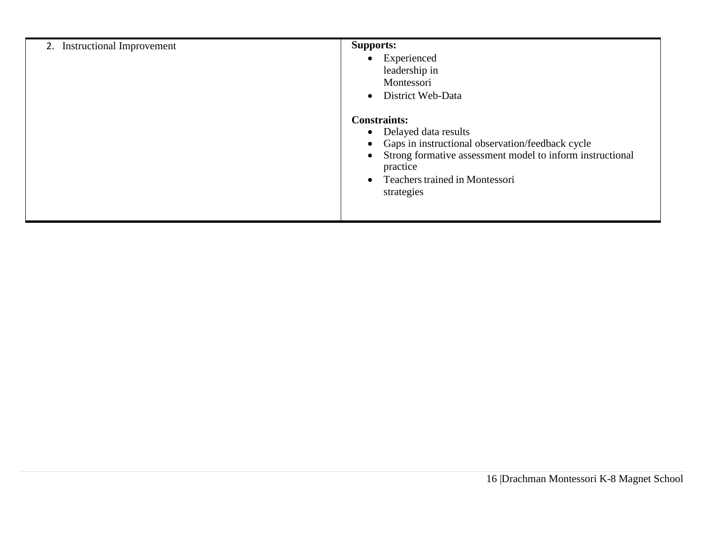| 2. Instructional Improvement | <b>Supports:</b><br>Experienced<br>$\bullet$<br>leadership in<br>Montessori<br>District Web-Data<br>$\bullet$                                                                                                                                                     |
|------------------------------|-------------------------------------------------------------------------------------------------------------------------------------------------------------------------------------------------------------------------------------------------------------------|
|                              | <b>Constraints:</b><br>• Delayed data results<br>Gaps in instructional observation/feedback cycle<br>$\bullet$<br>Strong formative assessment model to inform instructional<br>$\bullet$<br>practice<br>Teachers trained in Montessori<br>$\bullet$<br>strategies |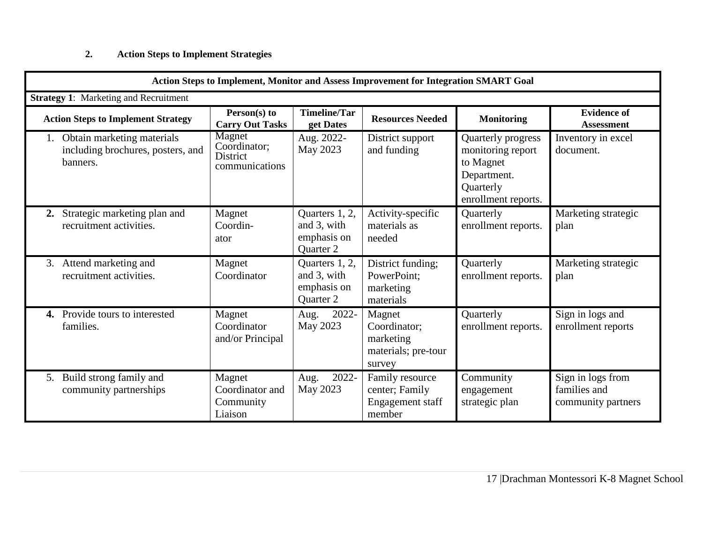## **2. Action Steps to Implement Strategies**

| <b>Action Steps to Implement, Monitor and Assess Improvement for Integration SMART Goal</b>                                                                                                                        |                                                      |                                                           |                                                                      |                                                                                                         |                                                         |  |
|--------------------------------------------------------------------------------------------------------------------------------------------------------------------------------------------------------------------|------------------------------------------------------|-----------------------------------------------------------|----------------------------------------------------------------------|---------------------------------------------------------------------------------------------------------|---------------------------------------------------------|--|
| <b>Strategy 1:</b> Marketing and Recruitment                                                                                                                                                                       |                                                      |                                                           |                                                                      |                                                                                                         |                                                         |  |
| <b>Timeline/Tar</b><br><b>Evidence of</b><br>Person(s) to<br><b>Resources Needed</b><br><b>Action Steps to Implement Strategy</b><br><b>Monitoring</b><br><b>Carry Out Tasks</b><br>get Dates<br><b>Assessment</b> |                                                      |                                                           |                                                                      |                                                                                                         |                                                         |  |
| Obtain marketing materials<br>including brochures, posters, and<br>banners.                                                                                                                                        | Magnet<br>Coordinator;<br>District<br>communications | Aug. 2022-<br>May 2023                                    | District support<br>and funding                                      | Quarterly progress<br>monitoring report<br>to Magnet<br>Department.<br>Quarterly<br>enrollment reports. | Inventory in excel<br>document.                         |  |
| Strategic marketing plan and<br>2.<br>recruitment activities.                                                                                                                                                      | Magnet<br>Coordin-<br>ator                           | Quarters 1, 2,<br>and 3, with<br>emphasis on<br>Quarter 2 | Activity-specific<br>materials as<br>needed                          | Quarterly<br>enrollment reports.                                                                        | Marketing strategic<br>plan                             |  |
| Attend marketing and<br>3.<br>recruitment activities.                                                                                                                                                              | Magnet<br>Coordinator                                | Quarters 1, 2,<br>and 3, with<br>emphasis on<br>Quarter 2 | District funding;<br>PowerPoint:<br>marketing<br>materials           | Quarterly<br>enrollment reports.                                                                        | Marketing strategic<br>plan                             |  |
| Provide tours to interested<br>4.<br>families.                                                                                                                                                                     | Magnet<br>Coordinator<br>and/or Principal            | 2022-<br>Aug.<br>May 2023                                 | Magnet<br>Coordinator:<br>marketing<br>materials; pre-tour<br>survey | Quarterly<br>enrollment reports.                                                                        | Sign in logs and<br>enrollment reports                  |  |
| Build strong family and<br>5.<br>community partnerships                                                                                                                                                            | Magnet<br>Coordinator and<br>Community<br>Liaison    | 2022-<br>Aug.<br>May 2023                                 | Family resource<br>center; Family<br>Engagement staff<br>member      | Community<br>engagement<br>strategic plan                                                               | Sign in logs from<br>families and<br>community partners |  |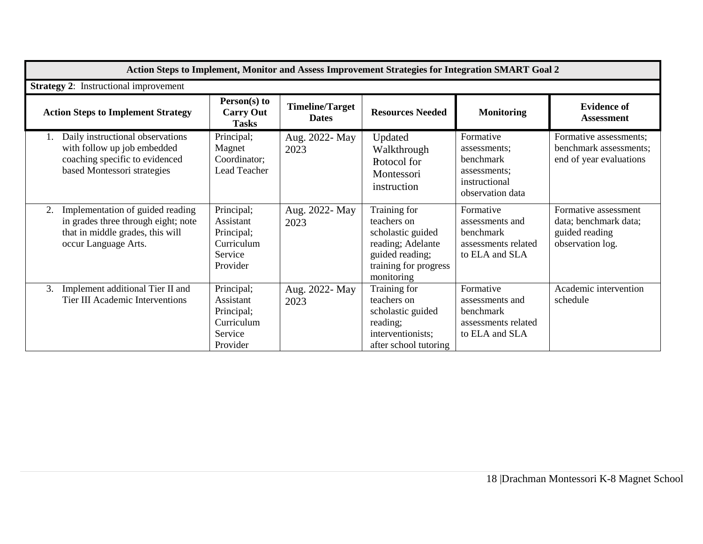| Action Steps to Implement, Monitor and Assess Improvement Strategies for Integration SMART Goal 2                                         |                                                                            |                                        |                                                                                                                                 |                                                                                             |                                                                                     |  |  |
|-------------------------------------------------------------------------------------------------------------------------------------------|----------------------------------------------------------------------------|----------------------------------------|---------------------------------------------------------------------------------------------------------------------------------|---------------------------------------------------------------------------------------------|-------------------------------------------------------------------------------------|--|--|
| <b>Strategy 2:</b> Instructional improvement                                                                                              |                                                                            |                                        |                                                                                                                                 |                                                                                             |                                                                                     |  |  |
| <b>Action Steps to Implement Strategy</b>                                                                                                 | Person(s) to<br><b>Carry Out</b><br><b>Tasks</b>                           | <b>Timeline/Target</b><br><b>Dates</b> | <b>Resources Needed</b>                                                                                                         | <b>Monitoring</b>                                                                           | <b>Evidence of</b><br><b>Assessment</b>                                             |  |  |
| Daily instructional observations<br>1.<br>with follow up job embedded<br>coaching specific to evidenced<br>based Montessori strategies    | Principal;<br>Magnet<br>Coordinator;<br>Lead Teacher                       | Aug. 2022- May<br>2023                 | Updated<br>Walkthrough<br><b>Rotocol</b> for<br>Montessori<br>instruction                                                       | Formative<br>assessments:<br>benchmark<br>assessments;<br>instructional<br>observation data | Formative assessments;<br>benchmark assessments;<br>end of year evaluations         |  |  |
| Implementation of guided reading<br>2.<br>in grades three through eight; note<br>that in middle grades, this will<br>occur Language Arts. | Principal;<br>Assistant<br>Principal;<br>Curriculum<br>Service<br>Provider | Aug. 2022- May<br>2023                 | Training for<br>teachers on<br>scholastic guided<br>reading; Adelante<br>guided reading;<br>training for progress<br>monitoring | Formative<br>assessments and<br>benchmark<br>assessments related<br>to ELA and SLA          | Formative assessment<br>data; benchmark data;<br>guided reading<br>observation log. |  |  |
| Implement additional Tier II and<br>3.<br>Tier III Academic Interventions                                                                 | Principal;<br>Assistant<br>Principal;<br>Curriculum<br>Service<br>Provider | Aug. 2022- May<br>2023                 | Training for<br>teachers on<br>scholastic guided<br>reading;<br>interventionists;<br>after school tutoring                      | Formative<br>assessments and<br>benchmark<br>assessments related<br>to ELA and SLA          | Academic intervention<br>schedule                                                   |  |  |

 $\overline{a}$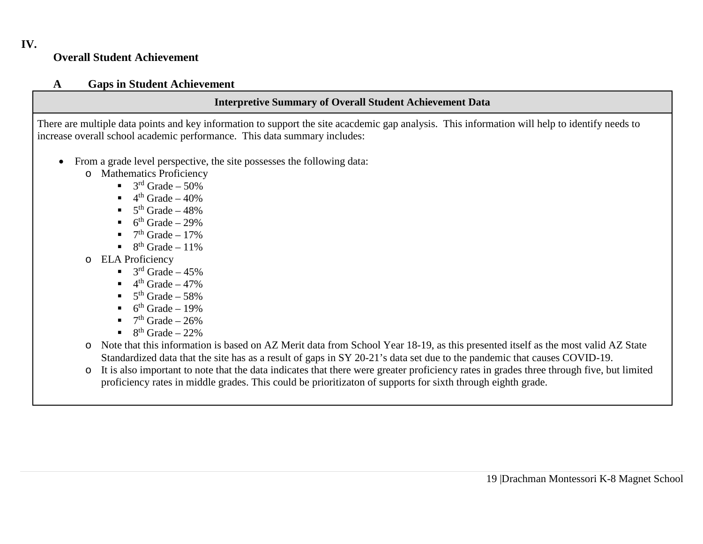## **Overall Student Achievement**

### **A Gaps in Student Achievement**

## **Interpretive Summary of Overall Student Achievement Data**

There are multiple data points and key information to support the site acacdemic gap analysis. This information will help to identify needs to increase overall school academic performance. This data summary includes:

- From a grade level perspective, the site possesses the following data:
	- o Mathematics Proficiency
		- $\blacksquare$  3<sup>rd</sup> Grade 50%
		- $4<sup>th</sup>$  Grade 40%
		- $5<sup>th</sup>$  Grade 48%
		- $6<sup>th</sup>$  Grade 29%
		- $7<sup>th</sup>$  Grade 17%
		- $8<sup>th</sup>$  Grade 11%
	- o ELA Proficiency
		- $\blacksquare$  3<sup>rd</sup> Grade 45%
		- $4<sup>th</sup>$  Grade 47%
		- $5<sup>th</sup>$  Grade 58%
		- $6<sup>th</sup>$  Grade 19%
		- $7<sup>th</sup>$  Grade 26%
		- $\blacksquare$  8<sup>th</sup> Grade 22%
	- o Note that this information is based on AZ Merit data from School Year 18-19, as this presented itself as the most valid AZ State Standardized data that the site has as a result of gaps in SY 20-21's data set due to the pandemic that causes COVID-19.
	- o It is also important to note that the data indicates that there were greater proficiency rates in grades three through five, but limited proficiency rates in middle grades. This could be prioritizaton of supports for sixth through eighth grade.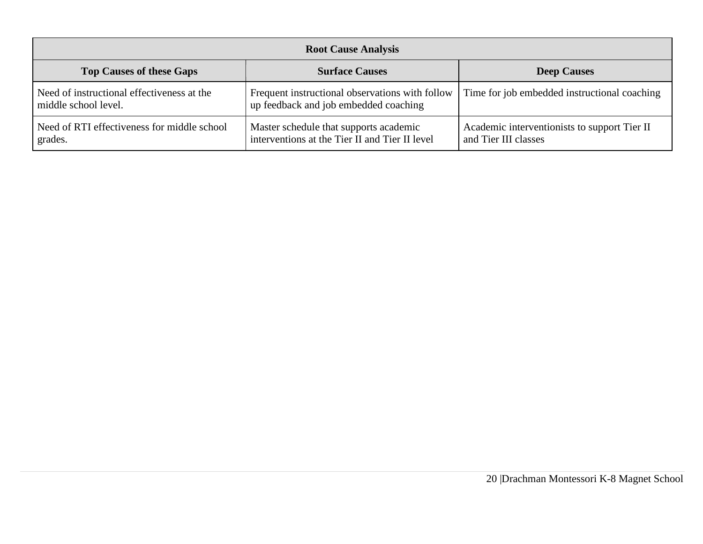| <b>Root Cause Analysis</b>                                         |                                                                                          |                                                                      |  |  |  |
|--------------------------------------------------------------------|------------------------------------------------------------------------------------------|----------------------------------------------------------------------|--|--|--|
| <b>Top Causes of these Gaps</b>                                    | <b>Surface Causes</b>                                                                    | <b>Deep Causes</b>                                                   |  |  |  |
| Need of instructional effectiveness at the<br>middle school level. | Frequent instructional observations with follow<br>up feedback and job embedded coaching | Time for job embedded instructional coaching                         |  |  |  |
| Need of RTI effectiveness for middle school<br>grades.             | Master schedule that supports academic<br>interventions at the Tier II and Tier II level | Academic interventionists to support Tier II<br>and Tier III classes |  |  |  |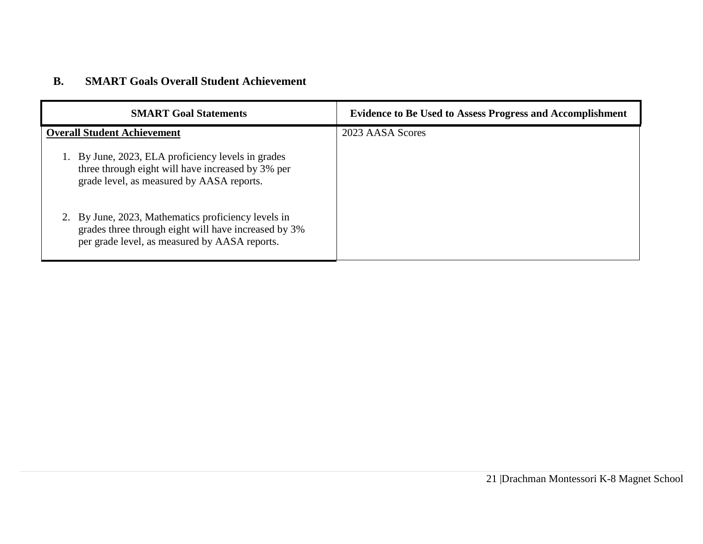## **B. SMART Goals Overall Student Achievement**

| <b>SMART Goal Statements</b>                                                                                                                                 | <b>Evidence to Be Used to Assess Progress and Accomplishment</b> |
|--------------------------------------------------------------------------------------------------------------------------------------------------------------|------------------------------------------------------------------|
| <b>Overall Student Achievement</b>                                                                                                                           | 2023 AASA Scores                                                 |
| 1. By June, 2023, ELA proficiency levels in grades<br>three through eight will have increased by 3% per<br>grade level, as measured by AASA reports.         |                                                                  |
| 2. By June, 2023, Mathematics proficiency levels in<br>grades three through eight will have increased by 3%<br>per grade level, as measured by AASA reports. |                                                                  |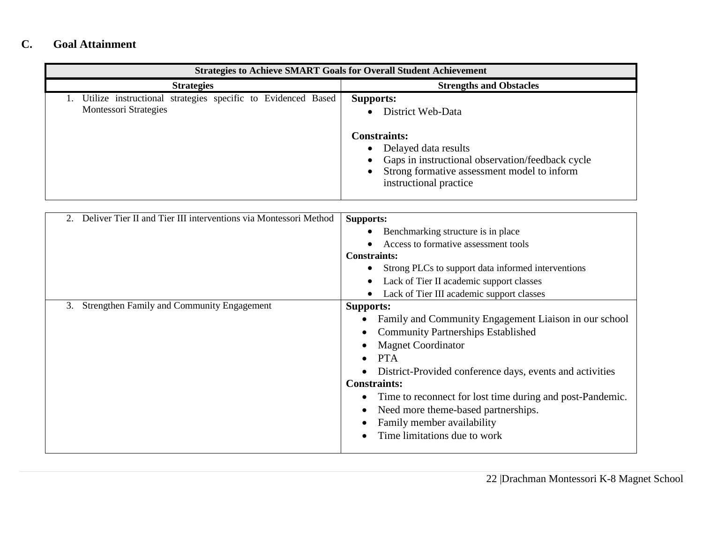# **C. Goal Attainment**

| <b>Strategies to Achieve SMART Goals for Overall Student Achievement</b>                     |                                                                                                                                                                                                                     |  |  |  |  |
|----------------------------------------------------------------------------------------------|---------------------------------------------------------------------------------------------------------------------------------------------------------------------------------------------------------------------|--|--|--|--|
| <b>Strategies</b>                                                                            | <b>Strengths and Obstacles</b>                                                                                                                                                                                      |  |  |  |  |
| Utilize instructional strategies specific to Evidenced Based<br><b>Montessori Strategies</b> | <b>Supports:</b><br>District Web-Data<br><b>Constraints:</b><br>• Delayed data results<br>Gaps in instructional observation/feedback cycle<br>Strong formative assessment model to inform<br>instructional practice |  |  |  |  |

| Deliver Tier II and Tier III interventions via Montessori Method | <b>Supports:</b><br>Benchmarking structure is in place    |
|------------------------------------------------------------------|-----------------------------------------------------------|
|                                                                  | Access to formative assessment tools                      |
|                                                                  |                                                           |
|                                                                  | <b>Constraints:</b>                                       |
|                                                                  | Strong PLCs to support data informed interventions        |
|                                                                  | Lack of Tier II academic support classes                  |
|                                                                  | Lack of Tier III academic support classes                 |
| <b>Strengthen Family and Community Engagement</b><br>3.          | <b>Supports:</b>                                          |
|                                                                  | Family and Community Engagement Liaison in our school     |
|                                                                  | <b>Community Partnerships Established</b>                 |
|                                                                  | <b>Magnet Coordinator</b>                                 |
|                                                                  | <b>PTA</b>                                                |
|                                                                  | District-Provided conference days, events and activities  |
|                                                                  | <b>Constraints:</b>                                       |
|                                                                  | Time to reconnect for lost time during and post-Pandemic. |
|                                                                  | Need more theme-based partnerships.                       |
|                                                                  | Family member availability                                |
|                                                                  | Time limitations due to work                              |
|                                                                  |                                                           |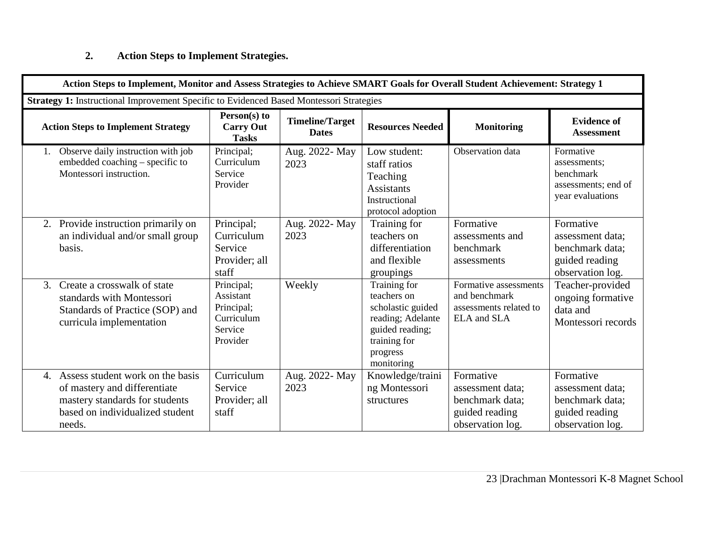## **2. Action Steps to Implement Strategies.**

|               | Action Steps to Implement, Monitor and Assess Strategies to Achieve SMART Goals for Overall Student Achievement: Strategy 1                        |                                                                            |                                        |                                                                                                                                    |                                                                                        |                                                                                        |  |  |
|---------------|----------------------------------------------------------------------------------------------------------------------------------------------------|----------------------------------------------------------------------------|----------------------------------------|------------------------------------------------------------------------------------------------------------------------------------|----------------------------------------------------------------------------------------|----------------------------------------------------------------------------------------|--|--|
|               | Strategy 1: Instructional Improvement Specific to Evidenced Based Montessori Strategies                                                            |                                                                            |                                        |                                                                                                                                    |                                                                                        |                                                                                        |  |  |
|               | <b>Action Steps to Implement Strategy</b>                                                                                                          | Person(s) to<br><b>Carry Out</b><br><b>Tasks</b>                           | <b>Timeline/Target</b><br><b>Dates</b> | <b>Resources Needed</b>                                                                                                            | <b>Monitoring</b>                                                                      | <b>Evidence of</b><br><b>Assessment</b>                                                |  |  |
|               | Observe daily instruction with job<br>embedded coaching - specific to<br>Montessori instruction.                                                   | Principal;<br>Curriculum<br>Service<br>Provider                            | Aug. 2022- May<br>2023                 | Low student:<br>staff ratios<br>Teaching<br><b>Assistants</b><br>Instructional<br>protocol adoption                                | Observation data                                                                       | Formative<br>assessments;<br>benchmark<br>assessments; end of<br>year evaluations      |  |  |
|               | 2. Provide instruction primarily on<br>an individual and/or small group<br>basis.                                                                  | Principal;<br>Curriculum<br>Service<br>Provider; all<br>staff              | Aug. 2022- May<br>2023                 | Training for<br>teachers on<br>differentiation<br>and flexible<br>groupings                                                        | Formative<br>assessments and<br>benchmark<br>assessments                               | Formative<br>assessment data;<br>benchmark data;<br>guided reading<br>observation log. |  |  |
| $\mathcal{E}$ | Create a crosswalk of state<br>standards with Montessori<br>Standards of Practice (SOP) and<br>curricula implementation                            | Principal;<br>Assistant<br>Principal;<br>Curriculum<br>Service<br>Provider | Weekly                                 | Training for<br>teachers on<br>scholastic guided<br>reading; Adelante<br>guided reading;<br>training for<br>progress<br>monitoring | Formative assessments<br>and benchmark<br>assessments related to<br>ELA and SLA        | Teacher-provided<br>ongoing formative<br>data and<br>Montessori records                |  |  |
|               | 4. Assess student work on the basis<br>of mastery and differentiate<br>mastery standards for students<br>based on individualized student<br>needs. | Curriculum<br>Service<br>Provider; all<br>staff                            | Aug. 2022- May<br>2023                 | Knowledge/traini<br>ng Montessori<br>structures                                                                                    | Formative<br>assessment data;<br>benchmark data;<br>guided reading<br>observation log. | Formative<br>assessment data;<br>benchmark data;<br>guided reading<br>observation log. |  |  |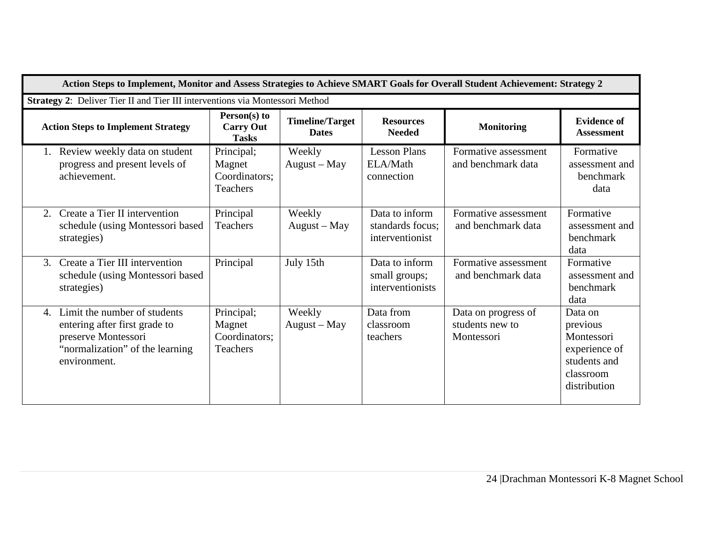| Action Steps to Implement, Monitor and Assess Strategies to Achieve SMART Goals for Overall Student Achievement: Strategy 2                   |                                                          |                                        |                                                       |                                                      |                                                                                                 |
|-----------------------------------------------------------------------------------------------------------------------------------------------|----------------------------------------------------------|----------------------------------------|-------------------------------------------------------|------------------------------------------------------|-------------------------------------------------------------------------------------------------|
| Strategy 2: Deliver Tier II and Tier III interventions via Montessori Method                                                                  |                                                          |                                        |                                                       |                                                      |                                                                                                 |
| <b>Action Steps to Implement Strategy</b>                                                                                                     | Person(s) to<br><b>Carry Out</b><br><b>Tasks</b>         | <b>Timeline/Target</b><br><b>Dates</b> | <b>Resources</b><br><b>Needed</b>                     | <b>Monitoring</b>                                    | <b>Evidence of</b><br><b>Assessment</b>                                                         |
| Review weekly data on student<br>progress and present levels of<br>achievement.                                                               | Principal;<br>Magnet<br>Coordinators;<br>Teachers        | Weekly<br>August – May                 | <b>Lesson Plans</b><br>ELA/Math<br>connection         | Formative assessment<br>and benchmark data           | Formative<br>assessment and<br>benchmark<br>data                                                |
| Create a Tier II intervention<br>2.<br>schedule (using Montessori based<br>strategies)                                                        | Principal<br><b>Teachers</b>                             | Weekly<br>August - May                 | Data to inform<br>standards focus:<br>interventionist | Formative assessment<br>and benchmark data           | Formative<br>assessment and<br>benchmark<br>data                                                |
| Create a Tier III intervention<br>$\mathcal{E}$<br>schedule (using Montessori based<br>strategies)                                            | Principal                                                | July 15th                              | Data to inform<br>small groups;<br>interventionists   | Formative assessment<br>and benchmark data           | Formative<br>assessment and<br>benchmark<br>data                                                |
| Limit the number of students<br>4.<br>entering after first grade to<br>preserve Montessori<br>"normalization" of the learning<br>environment. | Principal;<br>Magnet<br>Coordinators:<br><b>Teachers</b> | Weekly<br>August - May                 | Data from<br>classroom<br>teachers                    | Data on progress of<br>students new to<br>Montessori | Data on<br>previous<br>Montessori<br>experience of<br>students and<br>classroom<br>distribution |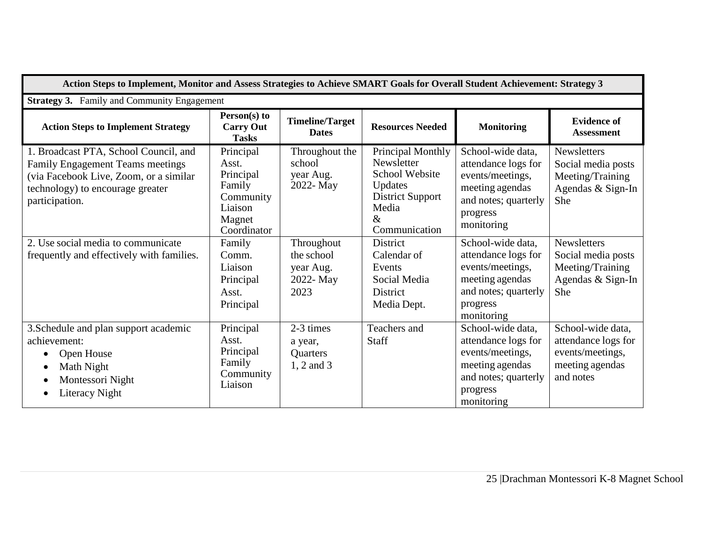| Action Steps to Implement, Monitor and Assess Strategies to Achieve SMART Goals for Overall Student Achievement: Strategy 3                                                      |                                                                                                                       |                                                            |                                                                                                                                  |                                                                                                                                   |                                                                                              |  |  |
|----------------------------------------------------------------------------------------------------------------------------------------------------------------------------------|-----------------------------------------------------------------------------------------------------------------------|------------------------------------------------------------|----------------------------------------------------------------------------------------------------------------------------------|-----------------------------------------------------------------------------------------------------------------------------------|----------------------------------------------------------------------------------------------|--|--|
| <b>Strategy 3.</b> Family and Community Engagement                                                                                                                               |                                                                                                                       |                                                            |                                                                                                                                  |                                                                                                                                   |                                                                                              |  |  |
| <b>Action Steps to Implement Strategy</b>                                                                                                                                        | Person(s) to<br><b>Timeline/Target</b><br><b>Resources Needed</b><br><b>Carry Out</b><br><b>Dates</b><br><b>Tasks</b> |                                                            | <b>Monitoring</b>                                                                                                                | <b>Evidence of</b><br><b>Assessment</b>                                                                                           |                                                                                              |  |  |
| 1. Broadcast PTA, School Council, and<br><b>Family Engagement Teams meetings</b><br>(via Facebook Live, Zoom, or a similar<br>technology) to encourage greater<br>participation. | Principal<br>Asst.<br>Principal<br>Family<br>Community<br>Liaison<br>Magnet<br>Coordinator                            | Throughout the<br>school<br>year Aug.<br>2022- May         | Principal Monthly<br>Newsletter<br><b>School Website</b><br>Updates<br><b>District Support</b><br>Media<br>$\&$<br>Communication | School-wide data,<br>attendance logs for<br>events/meetings,<br>meeting agendas<br>and notes; quarterly<br>progress<br>monitoring | <b>Newsletters</b><br>Social media posts<br>Meeting/Training<br>Agendas & Sign-In<br>She     |  |  |
| 2. Use social media to communicate<br>frequently and effectively with families.                                                                                                  | Family<br>Comm.<br>Liaison<br>Principal<br>Asst.<br>Principal                                                         | Throughout<br>the school<br>year Aug.<br>2022- May<br>2023 | <b>District</b><br>Calendar of<br>Events<br>Social Media<br><b>District</b><br>Media Dept.                                       | School-wide data,<br>attendance logs for<br>events/meetings,<br>meeting agendas<br>and notes; quarterly<br>progress<br>monitoring | <b>Newsletters</b><br>Social media posts<br>Meeting/Training<br>Agendas & Sign-In<br>She     |  |  |
| 3. Schedule and plan support academic<br>achievement:<br>Open House<br>Math Night<br>Montessori Night<br>Literacy Night                                                          | Principal<br>Asst.<br>Principal<br>Family<br>Community<br>Liaison                                                     | 2-3 times<br>a year,<br>Quarters<br>1, 2 and 3             | Teachers and<br>Staff                                                                                                            | School-wide data,<br>attendance logs for<br>events/meetings,<br>meeting agendas<br>and notes; quarterly<br>progress<br>monitoring | School-wide data,<br>attendance logs for<br>events/meetings,<br>meeting agendas<br>and notes |  |  |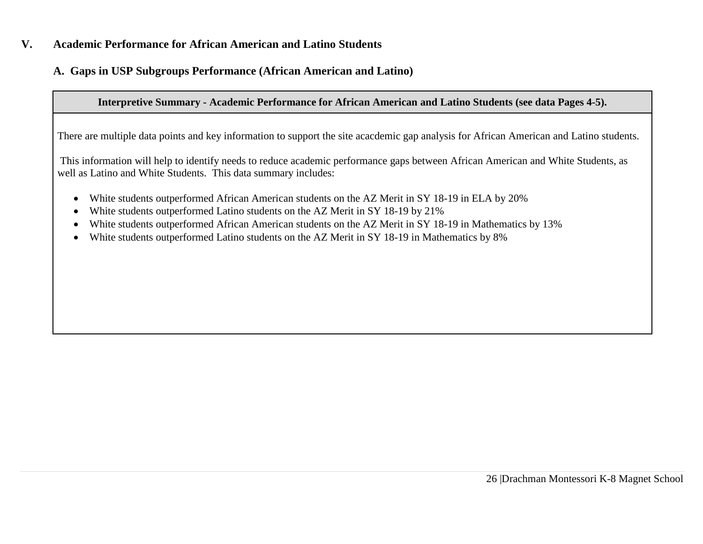### **V. Academic Performance for African American and Latino Students**

### **A. Gaps in USP Subgroups Performance (African American and Latino)**

### **Interpretive Summary - Academic Performance for African American and Latino Students (see data Pages 4-5).**

There are multiple data points and key information to support the site acacdemic gap analysis for African American and Latino students.

This information will help to identify needs to reduce academic performance gaps between African American and White Students, as well as Latino and White Students. This data summary includes:

- White students outperformed African American students on the AZ Merit in SY 18-19 in ELA by 20%
- White students outperformed Latino students on the AZ Merit in SY 18-19 by 21%
- White students outperformed African American students on the AZ Merit in SY 18-19 in Mathematics by 13%
- White students outperformed Latino students on the AZ Merit in SY 18-19 in Mathematics by 8%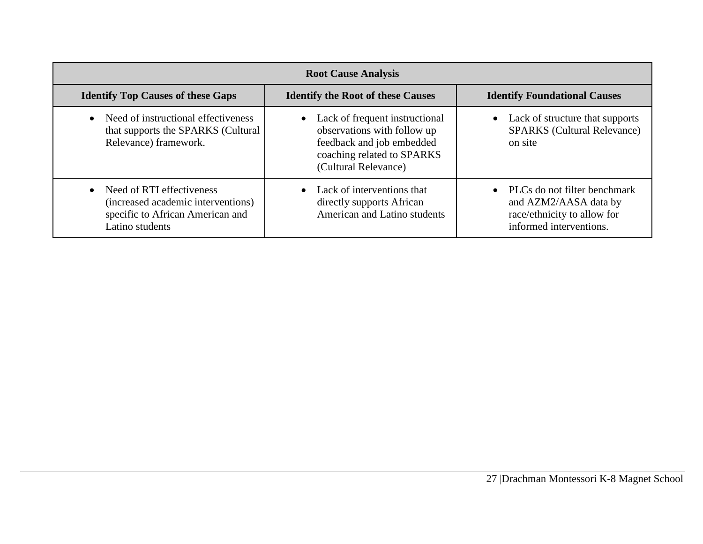| <b>Root Cause Analysis</b>                                                                                               |                                                                                                                                                               |                                                                                                                 |  |  |  |  |  |  |
|--------------------------------------------------------------------------------------------------------------------------|---------------------------------------------------------------------------------------------------------------------------------------------------------------|-----------------------------------------------------------------------------------------------------------------|--|--|--|--|--|--|
| <b>Identify Top Causes of these Gaps</b>                                                                                 | <b>Identify the Root of these Causes</b>                                                                                                                      | <b>Identify Foundational Causes</b>                                                                             |  |  |  |  |  |  |
| Need of instructional effectiveness<br>$\bullet$<br>that supports the SPARKS (Cultural<br>Relevance) framework.          | Lack of frequent instructional<br>$\bullet$<br>observations with follow up<br>feedback and job embedded<br>coaching related to SPARKS<br>(Cultural Relevance) | Lack of structure that supports<br>$\bullet$<br><b>SPARKS</b> (Cultural Relevance)<br>on site                   |  |  |  |  |  |  |
| • Need of RTI effectiveness<br>(increased academic interventions)<br>specific to African American and<br>Latino students | • Lack of interventions that<br>directly supports African<br><b>American and Latino students</b>                                                              | PLCs do not filter benchmark<br>and AZM2/AASA data by<br>race/ethnicity to allow for<br>informed interventions. |  |  |  |  |  |  |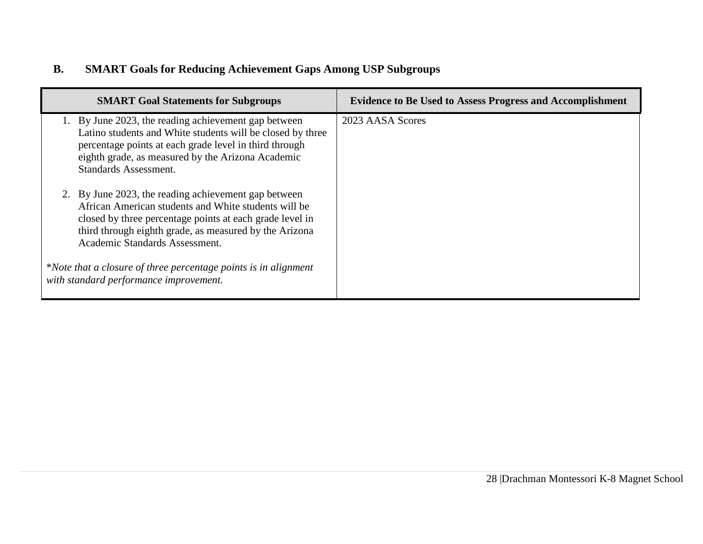# **B. SMART Goals for Reducing Achievement Gaps Among USP Subgroups**

| <b>SMART Goal Statements for Subgroups</b>                                                                                                                                                                                                                           | <b>Evidence to Be Used to Assess Progress and Accomplishment</b> |
|----------------------------------------------------------------------------------------------------------------------------------------------------------------------------------------------------------------------------------------------------------------------|------------------------------------------------------------------|
| 1. By June 2023, the reading achievement gap between<br>Latino students and White students will be closed by three<br>percentage points at each grade level in third through<br>eighth grade, as measured by the Arizona Academic<br><b>Standards Assessment.</b>    | 2023 AASA Scores                                                 |
| 2. By June 2023, the reading achievement gap between<br>African American students and White students will be<br>closed by three percentage points at each grade level in<br>third through eighth grade, as measured by the Arizona<br>Academic Standards Assessment. |                                                                  |
| *Note that a closure of three percentage points is in alignment<br>with standard performance improvement.                                                                                                                                                            |                                                                  |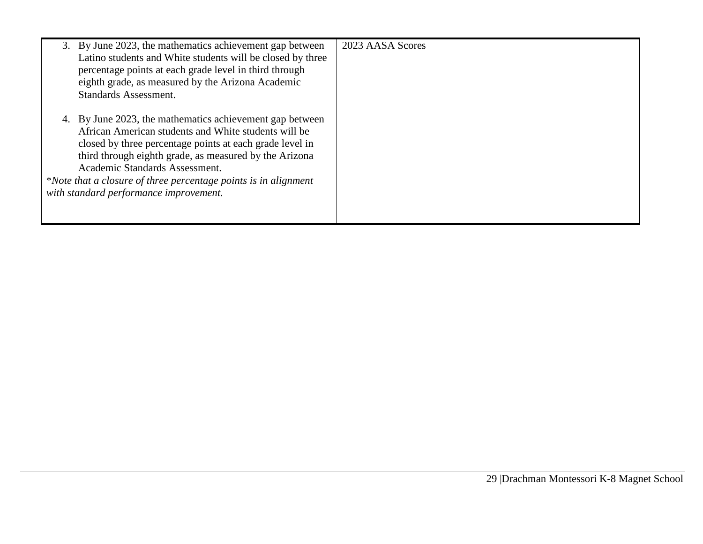| 3. By June 2023, the mathematics achievement gap between<br>Latino students and White students will be closed by three<br>percentage points at each grade level in third through<br>eighth grade, as measured by the Arizona Academic<br><b>Standards Assessment.</b>                                                                                                                 | 2023 AASA Scores |
|---------------------------------------------------------------------------------------------------------------------------------------------------------------------------------------------------------------------------------------------------------------------------------------------------------------------------------------------------------------------------------------|------------------|
| 4. By June 2023, the mathematics achievement gap between<br>African American students and White students will be<br>closed by three percentage points at each grade level in<br>third through eighth grade, as measured by the Arizona<br>Academic Standards Assessment.<br>*Note that a closure of three percentage points is in alignment<br>with standard performance improvement. |                  |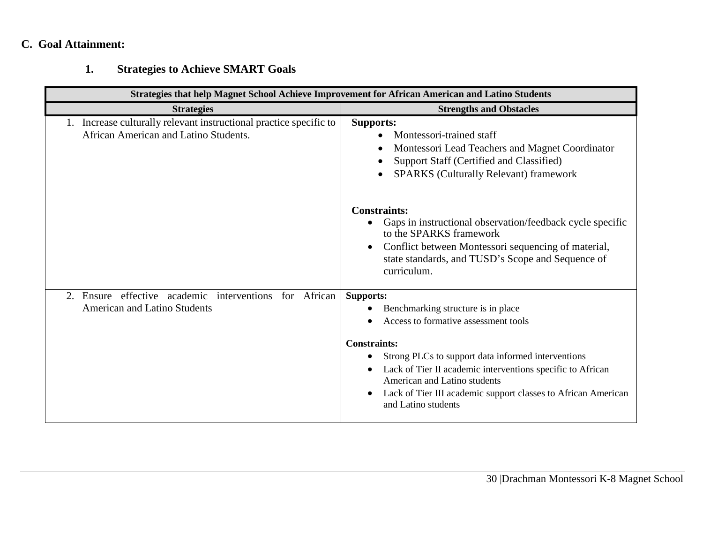# **C. Goal Attainment:**

# **1. Strategies to Achieve SMART Goals**

| <b>Strategies that help Magnet School Achieve Improvement for African American and Latino Students</b>      |                                                                                                                                                                                                                                                                                                                                                                   |  |  |  |  |  |  |
|-------------------------------------------------------------------------------------------------------------|-------------------------------------------------------------------------------------------------------------------------------------------------------------------------------------------------------------------------------------------------------------------------------------------------------------------------------------------------------------------|--|--|--|--|--|--|
| <b>Strategies</b>                                                                                           | <b>Strengths and Obstacles</b>                                                                                                                                                                                                                                                                                                                                    |  |  |  |  |  |  |
| 1. Increase culturally relevant instructional practice specific to<br>African American and Latino Students. | <b>Supports:</b><br>Montessori-trained staff<br>Montessori Lead Teachers and Magnet Coordinator<br>Support Staff (Certified and Classified)<br><b>SPARKS</b> (Culturally Relevant) framework                                                                                                                                                                      |  |  |  |  |  |  |
|                                                                                                             | <b>Constraints:</b><br>Gaps in instructional observation/feedback cycle specific<br>to the SPARKS framework<br>Conflict between Montessori sequencing of material,<br>state standards, and TUSD's Scope and Sequence of<br>curriculum.                                                                                                                            |  |  |  |  |  |  |
| Ensure effective academic interventions for African<br>2.<br><b>American and Latino Students</b>            | <b>Supports:</b><br>Benchmarking structure is in place<br>Access to formative assessment tools<br><b>Constraints:</b><br>Strong PLCs to support data informed interventions<br>Lack of Tier II academic interventions specific to African<br>American and Latino students<br>Lack of Tier III academic support classes to African American<br>and Latino students |  |  |  |  |  |  |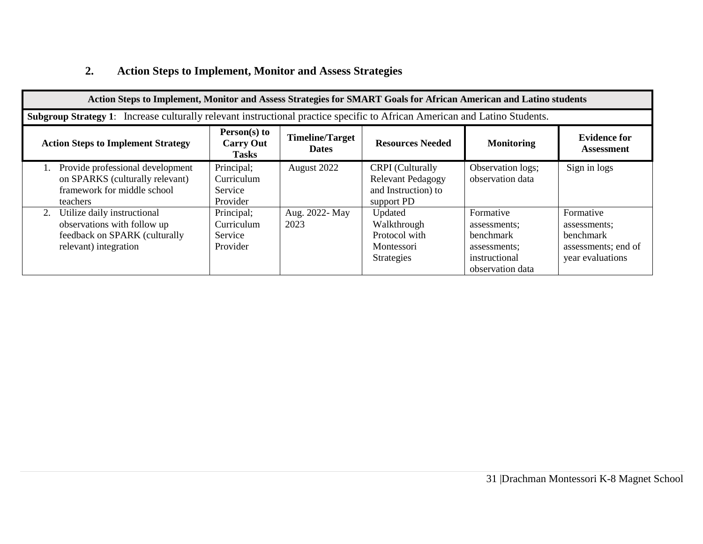# **2. Action Steps to Implement, Monitor and Assess Strategies**

| Action Steps to Implement, Monitor and Assess Strategies for SMART Goals for African American and Latino students                                                                                                            |                                                 |                        |                                                                                          |                                                                                                    |                                                                                   |  |  |  |
|------------------------------------------------------------------------------------------------------------------------------------------------------------------------------------------------------------------------------|-------------------------------------------------|------------------------|------------------------------------------------------------------------------------------|----------------------------------------------------------------------------------------------------|-----------------------------------------------------------------------------------|--|--|--|
| Subgroup Strategy 1: Increase culturally relevant instructional practice specific to African American and Latino Students.                                                                                                   |                                                 |                        |                                                                                          |                                                                                                    |                                                                                   |  |  |  |
| Person(s) to<br><b>Timeline/Target</b><br><b>Evidence for</b><br><b>Resources Needed</b><br><b>Action Steps to Implement Strategy</b><br><b>Carry Out</b><br><b>Monitoring</b><br><b>Dates</b><br>Assessment<br><b>Tasks</b> |                                                 |                        |                                                                                          |                                                                                                    |                                                                                   |  |  |  |
| Provide professional development<br>on SPARKS (culturally relevant)<br>framework for middle school<br>teachers                                                                                                               | Principal;<br>Curriculum<br>Service<br>Provider | August 2022            | <b>CRPI</b> (Culturally<br><b>Relevant Pedagogy</b><br>and Instruction) to<br>support PD | Observation logs;<br>observation data                                                              | Sign in logs                                                                      |  |  |  |
| Utilize daily instructional<br>2.<br>observations with follow up<br>feedback on SPARK (culturally<br>relevant) integration                                                                                                   | Principal;<br>Curriculum<br>Service<br>Provider | Aug. 2022- May<br>2023 | Updated<br>Walkthrough<br>Protocol with<br>Montessori<br><b>Strategies</b>               | Formative<br>assessments;<br><b>benchmark</b><br>assessments;<br>instructional<br>observation data | Formative<br>assessments;<br>benchmark<br>assessments; end of<br>year evaluations |  |  |  |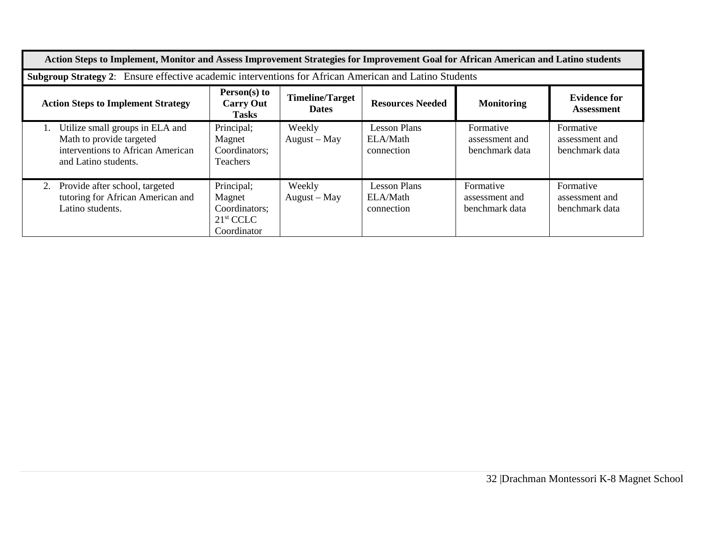| Action Steps to Implement, Monitor and Assess Improvement Strategies for Improvement Goal for African American and Latino students                                                                                                  |                                                                                                       |                        |                                               |                                               |                                               |  |  |  |
|-------------------------------------------------------------------------------------------------------------------------------------------------------------------------------------------------------------------------------------|-------------------------------------------------------------------------------------------------------|------------------------|-----------------------------------------------|-----------------------------------------------|-----------------------------------------------|--|--|--|
|                                                                                                                                                                                                                                     | Subgroup Strategy 2: Ensure effective academic interventions for African American and Latino Students |                        |                                               |                                               |                                               |  |  |  |
| Person(s) to<br><b>Timeline/Target</b><br><b>Evidence for</b><br><b>Resources Needed</b><br><b>Carry Out</b><br><b>Monitoring</b><br><b>Action Steps to Implement Strategy</b><br><b>Dates</b><br><b>Assessment</b><br><b>Tasks</b> |                                                                                                       |                        |                                               |                                               |                                               |  |  |  |
| Utilize small groups in ELA and<br>$\mathbf{L}$<br>Math to provide targeted<br>interventions to African American<br>and Latino students.                                                                                            | Principal;<br>Magnet<br>Coordinators;<br><b>Teachers</b>                                              | Weekly<br>August – May | <b>Lesson Plans</b><br>ELA/Math<br>connection | Formative<br>assessment and<br>benchmark data | Formative<br>assessment and<br>benchmark data |  |  |  |
| Provide after school, targeted<br>2.<br>tutoring for African American and<br>Latino students.                                                                                                                                       | Principal;<br>Magnet<br>Coordinators;<br>21 <sup>st</sup> CCLC<br>Coordinator                         | Weekly<br>August - May | <b>Lesson Plans</b><br>ELA/Math<br>connection | Formative<br>assessment and<br>benchmark data | Formative<br>assessment and<br>benchmark data |  |  |  |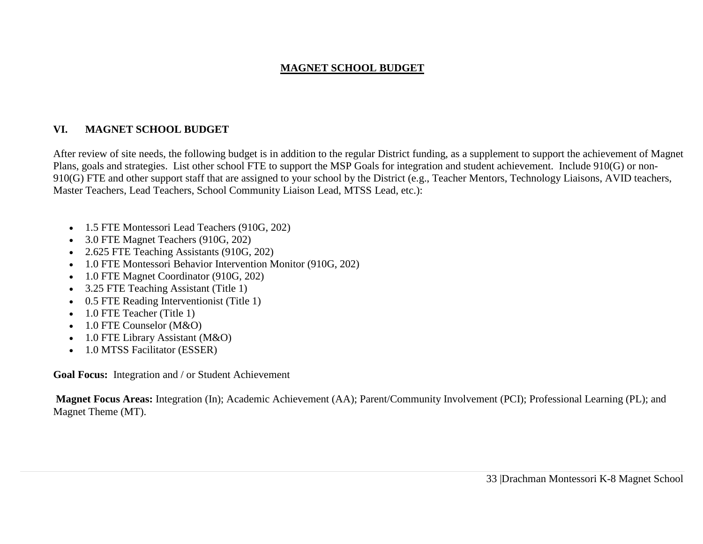### **MAGNET SCHOOL BUDGET**

### **VI. MAGNET SCHOOL BUDGET**

After review of site needs, the following budget is in addition to the regular District funding, as a supplement to support the achievement of Magnet Plans, goals and strategies. List other school FTE to support the MSP Goals for integration and student achievement. Include 910(G) or non-910(G) FTE and other support staff that are assigned to your school by the District (e.g., Teacher Mentors, Technology Liaisons, AVID teachers, Master Teachers, Lead Teachers, School Community Liaison Lead, MTSS Lead, etc.):

- 1.5 FTE Montessori Lead Teachers (910G, 202)
- 3.0 FTE Magnet Teachers (910G, 202)
- 2.625 FTE Teaching Assistants (910G, 202)
- 1.0 FTE Montessori Behavior Intervention Monitor (910G, 202)
- 1.0 FTE Magnet Coordinator (910G, 202)
- 3.25 FTE Teaching Assistant (Title 1)
- 0.5 FTE Reading Interventionist (Title 1)
- 1.0 FTE Teacher (Title 1)
- 1.0 FTE Counselor (M&O)
- 1.0 FTE Library Assistant (M&O)
- 1.0 MTSS Facilitator (ESSER)

**Goal Focus:** Integration and / or Student Achievement

**Magnet Focus Areas:** Integration (In); Academic Achievement (AA); Parent/Community Involvement (PCI); Professional Learning (PL); and Magnet Theme (MT).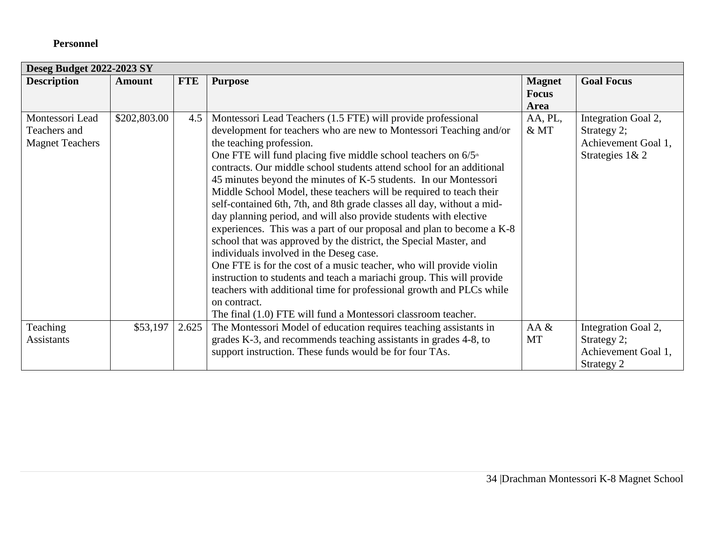## **Personnel**

| <b>Deseg Budget 2022-2023 SY</b> |              |            |                                                                              |               |                     |  |  |
|----------------------------------|--------------|------------|------------------------------------------------------------------------------|---------------|---------------------|--|--|
| <b>Description</b>               | Amount       | <b>FTE</b> | <b>Purpose</b>                                                               | <b>Magnet</b> | <b>Goal Focus</b>   |  |  |
|                                  |              |            |                                                                              | <b>Focus</b>  |                     |  |  |
|                                  |              |            |                                                                              | Area          |                     |  |  |
| Montessori Lead                  | \$202,803.00 | 4.5        | Montessori Lead Teachers (1.5 FTE) will provide professional                 | AA, PL,       | Integration Goal 2, |  |  |
| Teachers and                     |              |            | development for teachers who are new to Montessori Teaching and/or           | &MT           | Strategy 2;         |  |  |
| <b>Magnet Teachers</b>           |              |            | the teaching profession.                                                     |               | Achievement Goal 1, |  |  |
|                                  |              |            | One FTE will fund placing five middle school teachers on $6/5$ <sup>th</sup> |               | Strategies 1& 2     |  |  |
|                                  |              |            | contracts. Our middle school students attend school for an additional        |               |                     |  |  |
|                                  |              |            | 45 minutes beyond the minutes of K-5 students. In our Montessori             |               |                     |  |  |
|                                  |              |            | Middle School Model, these teachers will be required to teach their          |               |                     |  |  |
|                                  |              |            | self-contained 6th, 7th, and 8th grade classes all day, without a mid-       |               |                     |  |  |
|                                  |              |            | day planning period, and will also provide students with elective            |               |                     |  |  |
|                                  |              |            | experiences. This was a part of our proposal and plan to become a K-8        |               |                     |  |  |
|                                  |              |            | school that was approved by the district, the Special Master, and            |               |                     |  |  |
|                                  |              |            | individuals involved in the Deseg case.                                      |               |                     |  |  |
|                                  |              |            | One FTE is for the cost of a music teacher, who will provide violin          |               |                     |  |  |
|                                  |              |            | instruction to students and teach a mariachi group. This will provide        |               |                     |  |  |
|                                  |              |            | teachers with additional time for professional growth and PLCs while         |               |                     |  |  |
|                                  |              |            | on contract.                                                                 |               |                     |  |  |
|                                  |              |            | The final (1.0) FTE will fund a Montessori classroom teacher.                |               |                     |  |  |
| Teaching                         | \$53,197     | 2.625      | The Montessori Model of education requires teaching assistants in            | AA &          | Integration Goal 2, |  |  |
| <b>Assistants</b>                |              |            | grades K-3, and recommends teaching assistants in grades 4-8, to             | MT            | Strategy 2;         |  |  |
|                                  |              |            | support instruction. These funds would be for four TAs.                      |               | Achievement Goal 1, |  |  |
|                                  |              |            |                                                                              |               | Strategy 2          |  |  |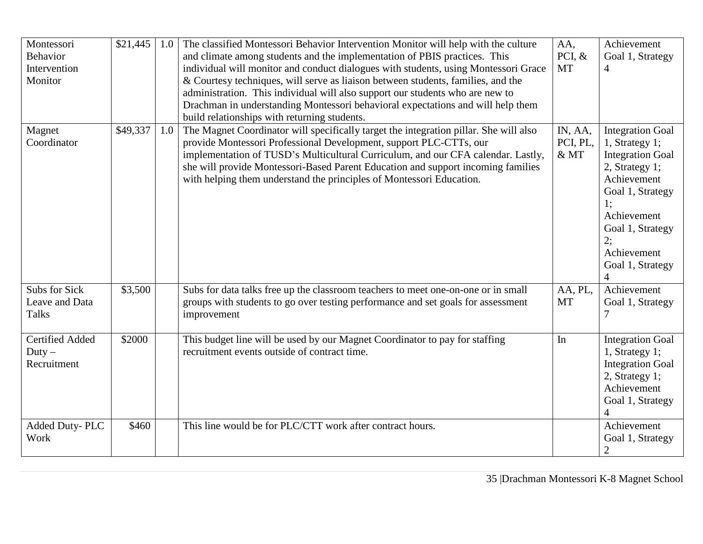| Montessori<br><b>Behavior</b><br>Intervention<br>Monitor | \$21,445 | 1.0 | The classified Montessori Behavior Intervention Monitor will help with the culture<br>and climate among students and the implementation of PBIS practices. This<br>individual will monitor and conduct dialogues with students, using Montessori Grace<br>& Courtesy techniques, will serve as liaison between students, families, and the<br>administration. This individual will also support our students who are new to<br>Drachman in understanding Montessori behavioral expectations and will help them | AA,<br>PCI, $&$<br><b>MT</b> | Achievement<br>Goal 1, Strategy<br>$\overline{4}$                                                                                                                                                                             |
|----------------------------------------------------------|----------|-----|----------------------------------------------------------------------------------------------------------------------------------------------------------------------------------------------------------------------------------------------------------------------------------------------------------------------------------------------------------------------------------------------------------------------------------------------------------------------------------------------------------------|------------------------------|-------------------------------------------------------------------------------------------------------------------------------------------------------------------------------------------------------------------------------|
| Magnet<br>Coordinator                                    | \$49,337 | 1.0 | build relationships with returning students.<br>The Magnet Coordinator will specifically target the integration pillar. She will also<br>provide Montessori Professional Development, support PLC-CTTs, our<br>implementation of TUSD's Multicultural Curriculum, and our CFA calendar. Lastly,<br>she will provide Montessori-Based Parent Education and support incoming families<br>with helping them understand the principles of Montessori Education.                                                    | IN, AA,<br>PCI, PL,<br>&MT   | <b>Integration Goal</b><br>1, Strategy 1;<br><b>Integration Goal</b><br>2, Strategy 1;<br>Achievement<br>Goal 1, Strategy<br>1;<br>Achievement<br>Goal 1, Strategy<br>2:<br>Achievement<br>Goal 1, Strategy<br>$\overline{4}$ |
| Subs for Sick<br>Leave and Data<br><b>Talks</b>          | \$3,500  |     | Subs for data talks free up the classroom teachers to meet one-on-one or in small<br>groups with students to go over testing performance and set goals for assessment<br>improvement                                                                                                                                                                                                                                                                                                                           | AA, PL,<br><b>MT</b>         | Achievement<br>Goal 1, Strategy                                                                                                                                                                                               |
| <b>Certified Added</b><br>$Duty -$<br>Recruitment        | \$2000   |     | This budget line will be used by our Magnet Coordinator to pay for staffing<br>recruitment events outside of contract time.                                                                                                                                                                                                                                                                                                                                                                                    | In                           | <b>Integration Goal</b><br>1, Strategy 1;<br><b>Integration Goal</b><br>2, Strategy 1;<br>Achievement<br>Goal 1, Strategy                                                                                                     |
| Added Duty-PLC<br>Work                                   | \$460    |     | This line would be for PLC/CTT work after contract hours.                                                                                                                                                                                                                                                                                                                                                                                                                                                      |                              | Achievement<br>Goal 1, Strategy<br>$\overline{c}$                                                                                                                                                                             |